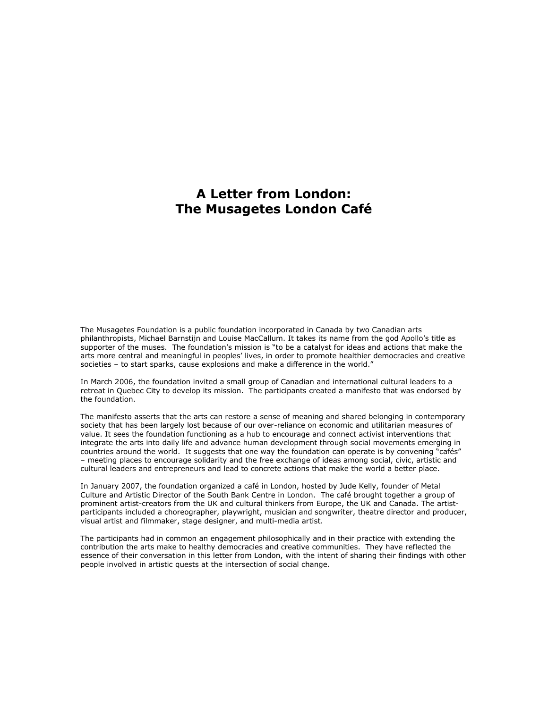## A Letter from London: The Musagetes London Café

The Musagetes Foundation is a public foundation incorporated in Canada by two Canadian arts philanthropists, Michael Barnstijn and Louise MacCallum. It takes its name from the god Apollo's title as supporter of the muses. The foundation's mission is "to be a catalyst for ideas and actions that make the arts more central and meaningful in peoples' lives, in order to promote healthier democracies and creative societies – to start sparks, cause explosions and make a difference in the world."

In March 2006, the foundation invited a small group of Canadian and international cultural leaders to a retreat in Quebec City to develop its mission. The participants created a manifesto that was endorsed by the foundation.

The manifesto asserts that the arts can restore a sense of meaning and shared belonging in contemporary society that has been largely lost because of our over-reliance on economic and utilitarian measures of value. It sees the foundation functioning as a hub to encourage and connect activist interventions that integrate the arts into daily life and advance human development through social movements emerging in countries around the world. It suggests that one way the foundation can operate is by convening "cafés" – meeting places to encourage solidarity and the free exchange of ideas among social, civic, artistic and cultural leaders and entrepreneurs and lead to concrete actions that make the world a better place.

In January 2007, the foundation organized a café in London, hosted by Jude Kelly, founder of Metal Culture and Artistic Director of the South Bank Centre in London. The café brought together a group of prominent artist-creators from the UK and cultural thinkers from Europe, the UK and Canada. The artistparticipants included a choreographer, playwright, musician and songwriter, theatre director and producer, visual artist and filmmaker, stage designer, and multi-media artist.

The participants had in common an engagement philosophically and in their practice with extending the contribution the arts make to healthy democracies and creative communities. They have reflected the essence of their conversation in this letter from London, with the intent of sharing their findings with other people involved in artistic quests at the intersection of social change.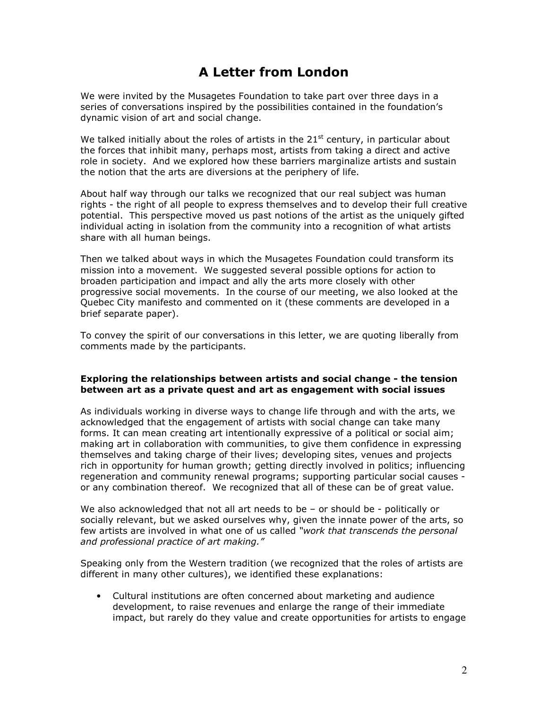# A Letter from London

We were invited by the Musagetes Foundation to take part over three days in a series of conversations inspired by the possibilities contained in the foundation's dynamic vision of art and social change.

We talked initially about the roles of artists in the  $21<sup>st</sup>$  century, in particular about the forces that inhibit many, perhaps most, artists from taking a direct and active role in society. And we explored how these barriers marginalize artists and sustain the notion that the arts are diversions at the periphery of life.

About half way through our talks we recognized that our real subject was human rights - the right of all people to express themselves and to develop their full creative potential. This perspective moved us past notions of the artist as the uniquely gifted individual acting in isolation from the community into a recognition of what artists share with all human beings.

Then we talked about ways in which the Musagetes Foundation could transform its mission into a movement. We suggested several possible options for action to broaden participation and impact and ally the arts more closely with other progressive social movements. In the course of our meeting, we also looked at the Quebec City manifesto and commented on it (these comments are developed in a brief separate paper).

To convey the spirit of our conversations in this letter, we are quoting liberally from comments made by the participants.

#### Exploring the relationships between artists and social change - the tension between art as a private quest and art as engagement with social issues

As individuals working in diverse ways to change life through and with the arts, we acknowledged that the engagement of artists with social change can take many forms. It can mean creating art intentionally expressive of a political or social aim; making art in collaboration with communities, to give them confidence in expressing themselves and taking charge of their lives; developing sites, venues and projects rich in opportunity for human growth; getting directly involved in politics; influencing regeneration and community renewal programs; supporting particular social causes or any combination thereof. We recognized that all of these can be of great value.

We also acknowledged that not all art needs to be - or should be - politically or socially relevant, but we asked ourselves why, given the innate power of the arts, so few artists are involved in what one of us called "work that transcends the personal and professional practice of art making."

Speaking only from the Western tradition (we recognized that the roles of artists are different in many other cultures), we identified these explanations:

• Cultural institutions are often concerned about marketing and audience development, to raise revenues and enlarge the range of their immediate impact, but rarely do they value and create opportunities for artists to engage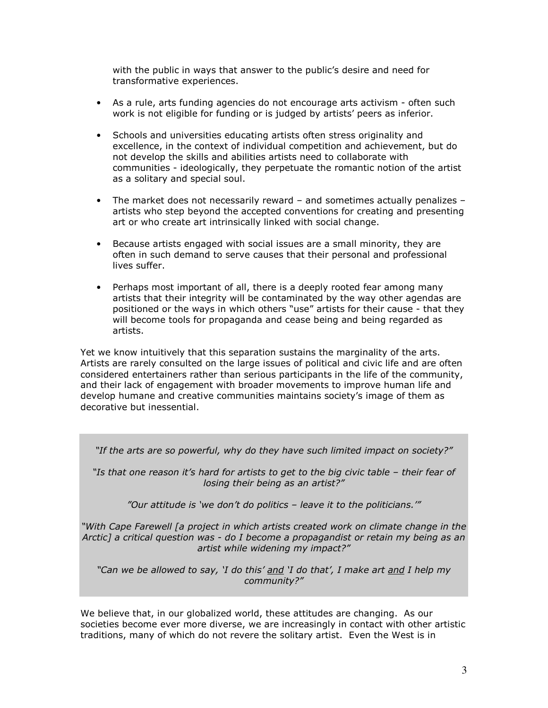with the public in ways that answer to the public's desire and need for transformative experiences.

- As a rule, arts funding agencies do not encourage arts activism often such work is not eligible for funding or is judged by artists' peers as inferior.
- Schools and universities educating artists often stress originality and excellence, in the context of individual competition and achievement, but do not develop the skills and abilities artists need to collaborate with communities - ideologically, they perpetuate the romantic notion of the artist as a solitary and special soul.
- The market does not necessarily reward and sometimes actually penalizes artists who step beyond the accepted conventions for creating and presenting art or who create art intrinsically linked with social change.
- Because artists engaged with social issues are a small minority, they are often in such demand to serve causes that their personal and professional lives suffer.
- Perhaps most important of all, there is a deeply rooted fear among many artists that their integrity will be contaminated by the way other agendas are positioned or the ways in which others "use" artists for their cause - that they will become tools for propaganda and cease being and being regarded as artists.

Yet we know intuitively that this separation sustains the marginality of the arts. Artists are rarely consulted on the large issues of political and civic life and are often considered entertainers rather than serious participants in the life of the community, and their lack of engagement with broader movements to improve human life and develop humane and creative communities maintains society's image of them as decorative but inessential.

"If the arts are so powerful, why do they have such limited impact on society?"

"Is that one reason it's hard for artists to get to the big civic table – their fear of losing their being as an artist?"

"Our attitude is 'we don't do politics – leave it to the politicians.'"

"With Cape Farewell [a project in which artists created work on climate change in the Arctic] a critical question was - do I become a propagandist or retain my being as an artist while widening my impact?"

"Can we be allowed to say, 'I do this' and 'I do that', I make art and I help my community?"

We believe that, in our globalized world, these attitudes are changing. As our societies become ever more diverse, we are increasingly in contact with other artistic traditions, many of which do not revere the solitary artist. Even the West is in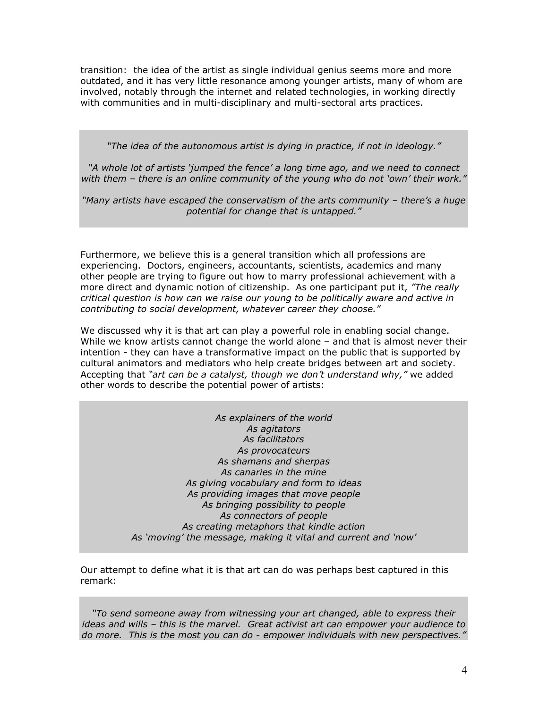transition: the idea of the artist as single individual genius seems more and more outdated, and it has very little resonance among younger artists, many of whom are involved, notably through the internet and related technologies, in working directly with communities and in multi-disciplinary and multi-sectoral arts practices.

"The idea of the autonomous artist is dying in practice, if not in ideology."

"A whole lot of artists 'jumped the fence' a long time ago, and we need to connect with them – there is an online community of the young who do not 'own' their work."

"Many artists have escaped the conservatism of the arts community – there's a huge potential for change that is untapped."

Furthermore, we believe this is a general transition which all professions are experiencing. Doctors, engineers, accountants, scientists, academics and many other people are trying to figure out how to marry professional achievement with a more direct and dynamic notion of citizenship. As one participant put it, "The really critical question is how can we raise our young to be politically aware and active in contributing to social development, whatever career they choose."

We discussed why it is that art can play a powerful role in enabling social change. While we know artists cannot change the world alone – and that is almost never their intention - they can have a transformative impact on the public that is supported by cultural animators and mediators who help create bridges between art and society. Accepting that "art can be a catalyst, though we don't understand why," we added other words to describe the potential power of artists:

> As explainers of the world As agitators As facilitators As provocateurs As shamans and sherpas As canaries in the mine As giving vocabulary and form to ideas As providing images that move people As bringing possibility to people As connectors of people As creating metaphors that kindle action As 'moving' the message, making it vital and current and 'now'

Our attempt to define what it is that art can do was perhaps best captured in this remark:

"To send someone away from witnessing your art changed, able to express their ideas and wills – this is the marvel. Great activist art can empower your audience to do more. This is the most you can do - empower individuals with new perspectives."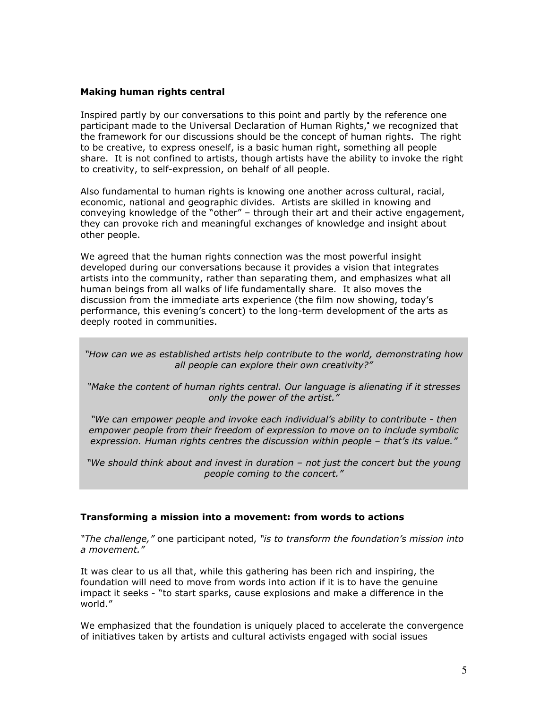#### Making human rights central

Inspired partly by our conversations to this point and partly by the reference one participant made to the Universal Declaration of Human Rights,<sup>•</sup> we recognized that the framework for our discussions should be the concept of human rights. The right to be creative, to express oneself, is a basic human right, something all people share. It is not confined to artists, though artists have the ability to invoke the right to creativity, to self-expression, on behalf of all people.

Also fundamental to human rights is knowing one another across cultural, racial, economic, national and geographic divides. Artists are skilled in knowing and conveying knowledge of the "other" – through their art and their active engagement, they can provoke rich and meaningful exchanges of knowledge and insight about other people.

We agreed that the human rights connection was the most powerful insight developed during our conversations because it provides a vision that integrates artists into the community, rather than separating them, and emphasizes what all human beings from all walks of life fundamentally share. It also moves the discussion from the immediate arts experience (the film now showing, today's performance, this evening's concert) to the long-term development of the arts as deeply rooted in communities.

"How can we as established artists help contribute to the world, demonstrating how all people can explore their own creativity?"

"Make the content of human rights central. Our language is alienating if it stresses only the power of the artist."

"We can empower people and invoke each individual's ability to contribute - then empower people from their freedom of expression to move on to include symbolic expression. Human rights centres the discussion within people - that's its value."

"We should think about and invest in duration – not just the concert but the young people coming to the concert."

#### Transforming a mission into a movement: from words to actions

"The challenge," one participant noted, "is to transform the foundation's mission into a movement."

It was clear to us all that, while this gathering has been rich and inspiring, the foundation will need to move from words into action if it is to have the genuine impact it seeks - "to start sparks, cause explosions and make a difference in the world."

We emphasized that the foundation is uniquely placed to accelerate the convergence of initiatives taken by artists and cultural activists engaged with social issues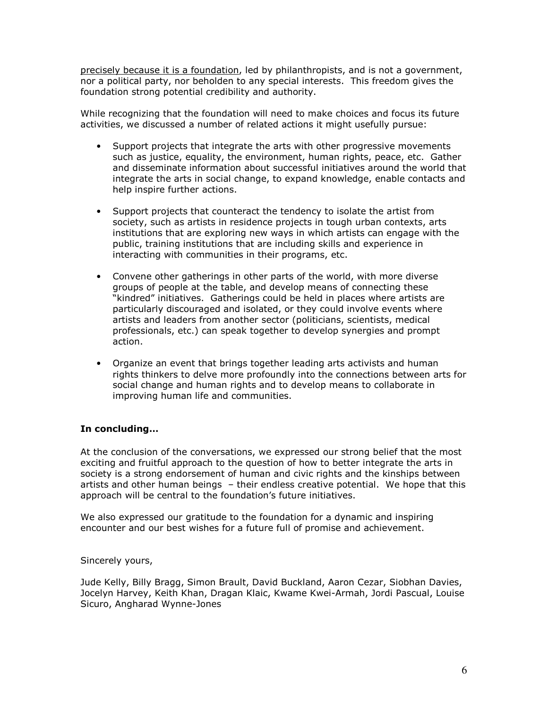precisely because it is a foundation, led by philanthropists, and is not a government, nor a political party, nor beholden to any special interests. This freedom gives the foundation strong potential credibility and authority.

While recognizing that the foundation will need to make choices and focus its future activities, we discussed a number of related actions it might usefully pursue:

- Support projects that integrate the arts with other progressive movements such as justice, equality, the environment, human rights, peace, etc. Gather and disseminate information about successful initiatives around the world that integrate the arts in social change, to expand knowledge, enable contacts and help inspire further actions.
- Support projects that counteract the tendency to isolate the artist from society, such as artists in residence projects in tough urban contexts, arts institutions that are exploring new ways in which artists can engage with the public, training institutions that are including skills and experience in interacting with communities in their programs, etc.
- Convene other gatherings in other parts of the world, with more diverse groups of people at the table, and develop means of connecting these "kindred" initiatives. Gatherings could be held in places where artists are particularly discouraged and isolated, or they could involve events where artists and leaders from another sector (politicians, scientists, medical professionals, etc.) can speak together to develop synergies and prompt action.
- Organize an event that brings together leading arts activists and human rights thinkers to delve more profoundly into the connections between arts for social change and human rights and to develop means to collaborate in improving human life and communities.

### In concluding…

At the conclusion of the conversations, we expressed our strong belief that the most exciting and fruitful approach to the question of how to better integrate the arts in society is a strong endorsement of human and civic rights and the kinships between artists and other human beings – their endless creative potential. We hope that this approach will be central to the foundation's future initiatives.

We also expressed our gratitude to the foundation for a dynamic and inspiring encounter and our best wishes for a future full of promise and achievement.

#### Sincerely yours,

Jude Kelly, Billy Bragg, Simon Brault, David Buckland, Aaron Cezar, Siobhan Davies, Jocelyn Harvey, Keith Khan, Dragan Klaic, Kwame Kwei-Armah, Jordi Pascual, Louise Sicuro, Angharad Wynne-Jones